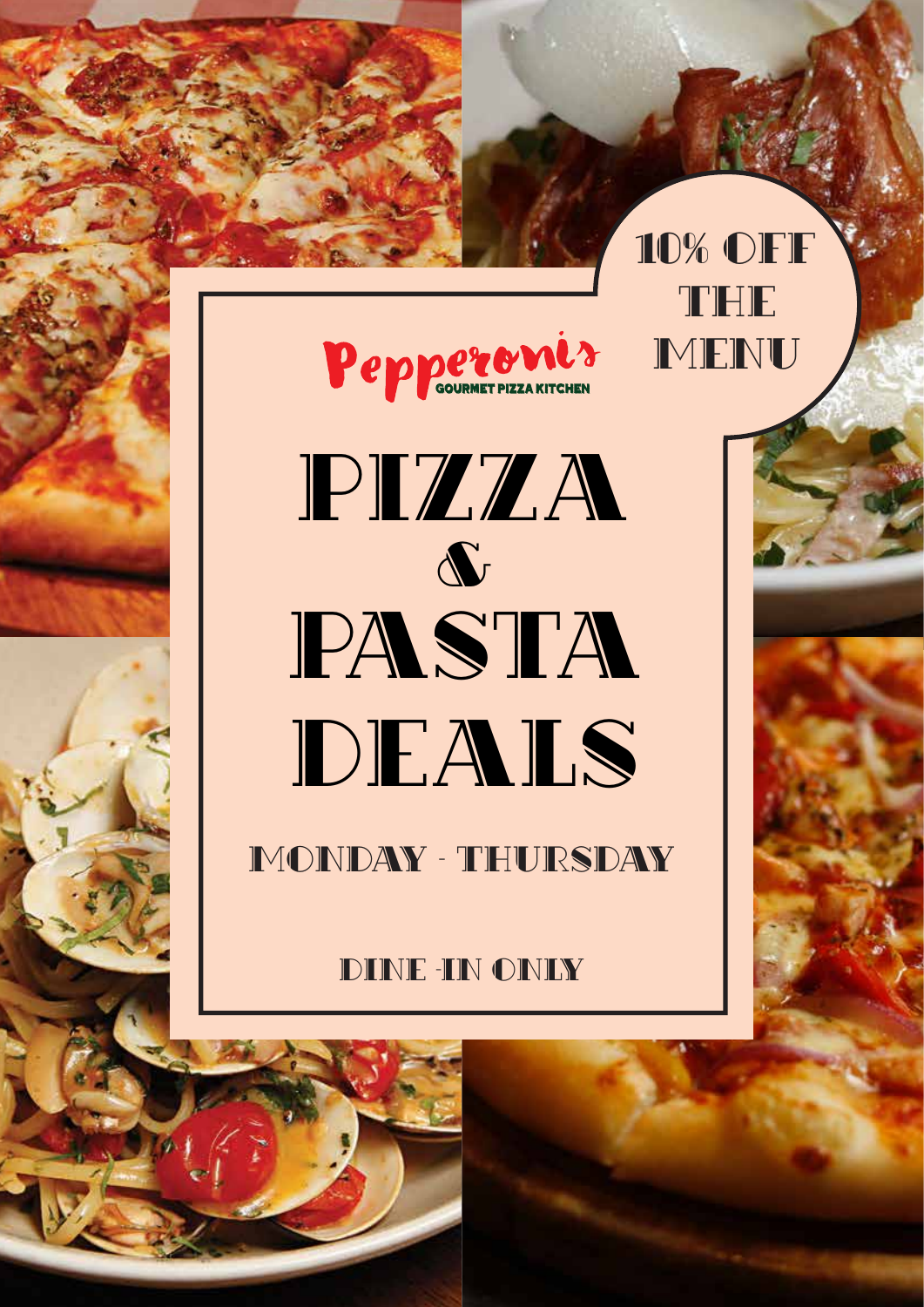

THE

10% OFF

**MENU** 

PASTA DEALS PIZZA &

MONDAY - THURSDAY

## DINE -IN ONLY